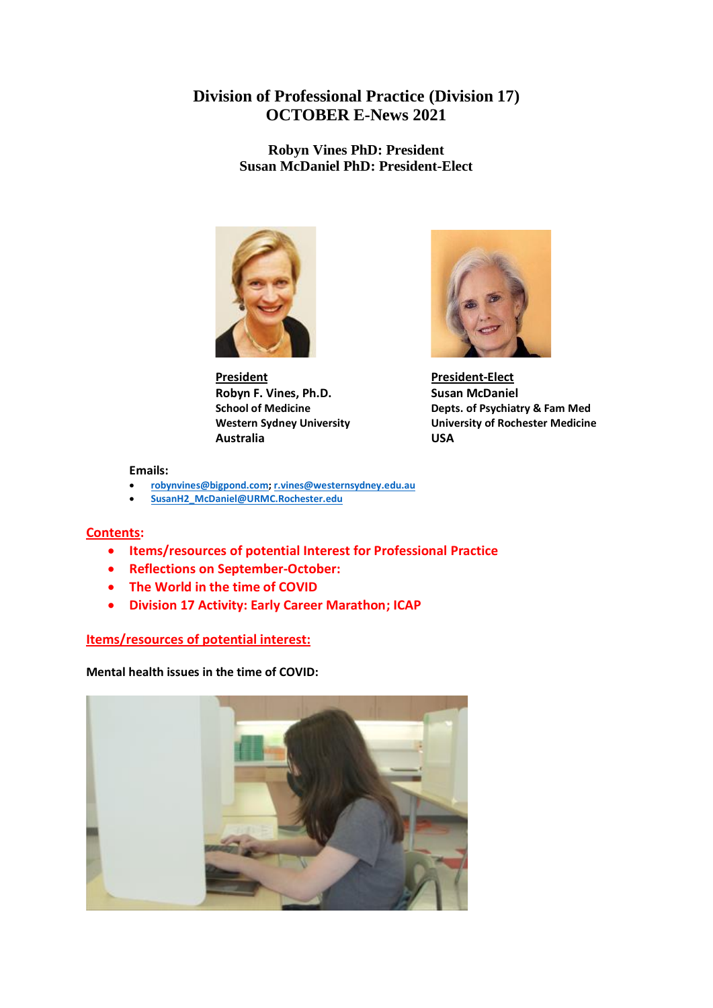# **Division of Professional Practice (Division 17) OCTOBER E-News 2021**

**Robyn Vines PhD: President Susan McDaniel PhD: President-Elect**



**President President-Elect Robyn F. Vines, Ph.D.** Susan McDaniel **Australia USA**



**School of Medicine Depts. of Psychiatry & Fam Med Western Sydney University University of Rochester Medicine**

#### **Emails:**

- **[robynvines@bigpond.com;](mailto:robynvines@bigpond.com) [r.vines@westernsydney.edu.au](mailto:r.vines@westernsydney.edu.au)**
- **[SusanH2\\_McDaniel@URMC.Rochester.edu](mailto:SusanH2_McDaniel@URMC.Rochester.edu)**

# **Contents:**

- **Items/resources of potential Interest for Professional Practice**
- **Reflections on September-October:**
- **The World in the time of COVID**
- **Division 17 Activity: Early Career Marathon; ICAP**

# **Items/resources of potential interest:**

**Mental health issues in the time of COVID:**

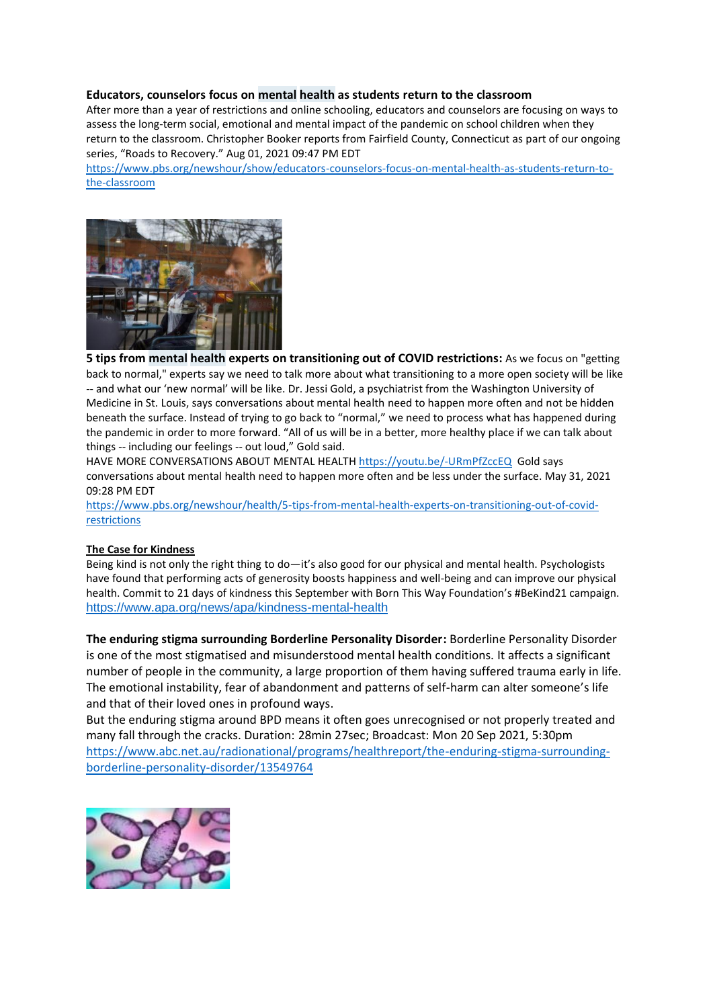#### **Educators, [counselors](https://www.pbs.org/newshour/show/educators-counselors-focus-on-mental-health-as-students-return-to-the-classroom) focus on mental health as students return to the classroom**

After more than a year of restrictions and online schooling, educators and counselors are focusing on ways to assess the long-term social, emotional and mental impact of the pandemic on school children when they return to the classroom. Christopher Booker reports from Fairfield County, Connecticut as part of our ongoing series, "Roads to Recovery." Aug 01, 2021 09:47 PM EDT

[https://www.pbs.org/newshour/show/educators-counselors-focus-on-mental-health-as-students-return-to](https://www.pbs.org/newshour/show/educators-counselors-focus-on-mental-health-as-students-return-to-the-classroom)[the-classroom](https://www.pbs.org/newshour/show/educators-counselors-focus-on-mental-health-as-students-return-to-the-classroom)



**5 tips from mental health experts on [transitioning](https://www.pbs.org/newshour/health/5-tips-from-mental-health-experts-on-transitioning-out-of-covid-restrictions) out of COVID restrictions:** As we focus on "getting back to normal," experts say we need to talk more about what transitioning to a more open society will be like -- and what our 'new normal' will be like. Dr. Jessi Gold, a psychiatrist from the Washington University of Medicine in St. Louis, says conversations about mental health need to happen more often and not be hidden beneath the surface. Instead of trying to go back to "normal," we need to process what has happened during the pandemic in order to more forward. "All of us will be in a better, more healthy place if we can talk about things -- including our feelings -- out loud," Gold said.

HAVE MORE CONVERSATIONS ABOUT MENTAL HEALTH <https://youtu.be/-URmPfZccEQ>Gold says conversations about mental health need to happen more often and be less under the surface. May 31, 2021 09:28 PM EDT

[https://www.pbs.org/newshour/health/5-tips-from-mental-health-experts-on-transitioning-out-of-covid](https://www.pbs.org/newshour/health/5-tips-from-mental-health-experts-on-transitioning-out-of-covid-restrictions)[restrictions](https://www.pbs.org/newshour/health/5-tips-from-mental-health-experts-on-transitioning-out-of-covid-restrictions)

#### **[The Case for Kindness](https://click.info.apa.org/?qs=320d4bf731b62d67b135552361d5ac0696bfb319a764c0b45cb3d9204c64c97a82ec4869ff6261a0e6cf2f121a07adf94b29a8384d267bca)**

Being kind is not only the right thing to do—it's also good for our physical and mental health. Psychologists have found that performing acts of generosity boosts happiness and well-being and can improve our physical health. Commit to 21 days of kindness this September with Born This Way Foundation's #BeKind21 campaign. <https://www.apa.org/news/apa/kindness-mental-health>

**The enduring stigma surrounding Borderline Personality Disorder:** Borderline Personality Disorder is one of the most stigmatised and misunderstood mental health conditions. It affects a significant number of people in the community, a large proportion of them having suffered trauma early in life. The emotional instability, fear of abandonment and patterns of self-harm can alter someone's life and that of their loved ones in profound ways.

But the enduring stigma around BPD means it often goes unrecognised or not properly treated and many fall through the cracks. Duration: 28min 27sec; Broadcast: Mon 20 Sep 2021, 5:30pm [https://www.abc.net.au/radionational/programs/healthreport/the-enduring-stigma-surrounding](https://www.abc.net.au/radionational/programs/healthreport/the-enduring-stigma-surrounding-borderline-personality-disorder/13549764)[borderline-personality-disorder/13549764](https://www.abc.net.au/radionational/programs/healthreport/the-enduring-stigma-surrounding-borderline-personality-disorder/13549764)

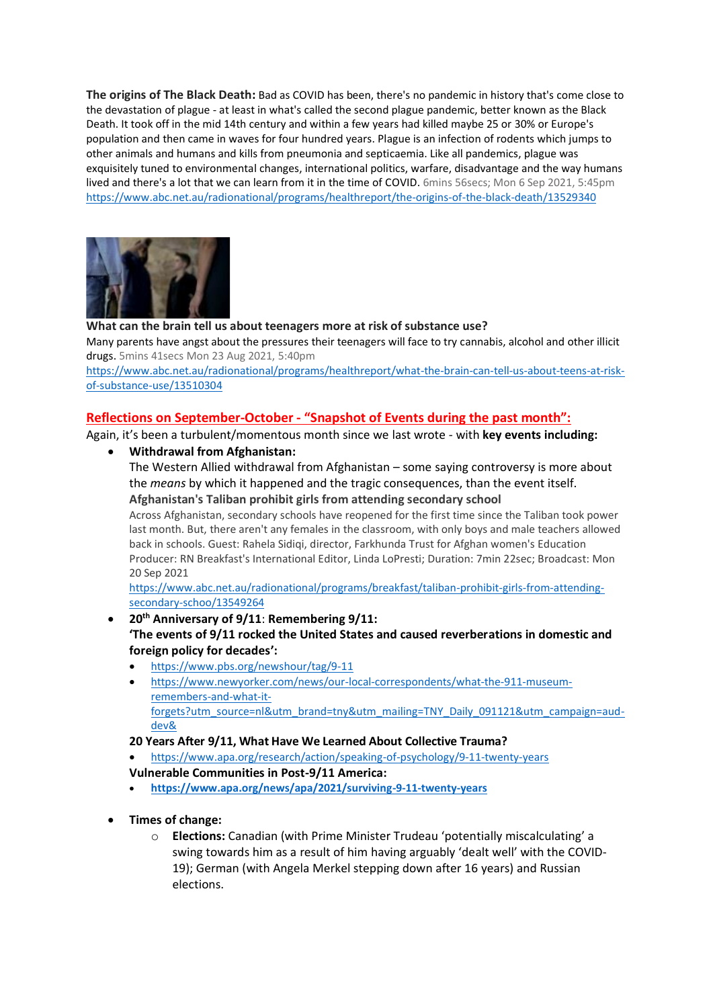**[The origins of The Black Death:](https://www.abc.net.au/radionational/programs/healthreport/the-origins-of-the-black-death/13529340)** Bad as COVID has been, there's no pandemic in history that's come close to the devastation of plague - at least in what's called the second plague pandemic, better known as the Black Death. It took off in the mid 14th century and within a few years had killed maybe 25 or 30% or Europe's population and then came in waves for four hundred years. Plague is an infection of rodents which jumps to other animals and humans and kills from pneumonia and septicaemia. Like all pandemics, plague was exquisitely tuned to environmental changes, international politics, warfare, disadvantage and the way humans lived and there's a lot that we can learn from it in the time of COVID. 6mins 56secs; Mon 6 Sep 2021, 5:45pm <https://www.abc.net.au/radionational/programs/healthreport/the-origins-of-the-black-death/13529340>



#### **[What can the brain tell us about teenagers more at risk of substance use?](https://www.abc.net.au/radionational/programs/healthreport/what-the-brain-can-tell-us-about-teens-at-risk-of-substance-use/13510304)**

Many parents have angst about the pressures their teenagers will face to try cannabis, alcohol and other illicit drugs. 5mins 41secs Mon 23 Aug 2021, 5:40pm

[https://www.abc.net.au/radionational/programs/healthreport/what-the-brain-can-tell-us-about-teens-at-risk](https://www.abc.net.au/radionational/programs/healthreport/what-the-brain-can-tell-us-about-teens-at-risk-of-substance-use/13510304)[of-substance-use/13510304](https://www.abc.net.au/radionational/programs/healthreport/what-the-brain-can-tell-us-about-teens-at-risk-of-substance-use/13510304)

#### **Reflections on September-October - "Snapshot of Events during the past month":**

Again, it's been a turbulent/momentous month since we last wrote - with **key events including:**

• **Withdrawal from Afghanistan:** The Western Allied withdrawal from Afghanistan – some saying controversy is more about the *means* by which it happened and the tragic consequences, than the event itself.

**Afghanistan's Taliban prohibit girls from attending secondary school** Across Afghanistan, secondary schools have reopened for the first time since the Taliban took power last month. But, there aren't any females in the classroom, with only boys and male teachers allowed back in schools. Guest: Rahela Sidiqi, director, Farkhunda Trust for Afghan women's Education Producer: RN Breakfast's International Editor, Linda LoPresti; Duration: 7min 22sec; Broadcast: Mon 20 Sep 2021

[https://www.abc.net.au/radionational/programs/breakfast/taliban-prohibit-girls-from-attending](https://www.abc.net.au/radionational/programs/breakfast/taliban-prohibit-girls-from-attending-secondary-schoo/13549264)[secondary-schoo/13549264](https://www.abc.net.au/radionational/programs/breakfast/taliban-prohibit-girls-from-attending-secondary-schoo/13549264)

- **20th Anniversary of 9/11**: **Remembering 9/11: 'The events of 9/11 rocked the United States and caused reverberations in domestic and foreign policy for decades':** 
	- <https://www.pbs.org/newshour/tag/9-11>
	- [https://www.newyorker.com/news/our-local-correspondents/what-the-911-museum](https://www.newyorker.com/news/our-local-correspondents/what-the-911-museum-remembers-and-what-it-forgets?utm_source=nl&utm_brand=tny&utm_mailing=TNY_Daily_091121&utm_campaign=aud-dev&)[remembers-and-what-it](https://www.newyorker.com/news/our-local-correspondents/what-the-911-museum-remembers-and-what-it-forgets?utm_source=nl&utm_brand=tny&utm_mailing=TNY_Daily_091121&utm_campaign=aud-dev&)[forgets?utm\\_source=nl&utm\\_brand=tny&utm\\_mailing=TNY\\_Daily\\_091121&utm\\_campaign=aud](https://www.newyorker.com/news/our-local-correspondents/what-the-911-museum-remembers-and-what-it-forgets?utm_source=nl&utm_brand=tny&utm_mailing=TNY_Daily_091121&utm_campaign=aud-dev&)[dev&](https://www.newyorker.com/news/our-local-correspondents/what-the-911-museum-remembers-and-what-it-forgets?utm_source=nl&utm_brand=tny&utm_mailing=TNY_Daily_091121&utm_campaign=aud-dev&)
	- **[20 Years After 9/11, What Have We Learned About Collective Trauma?](https://click.info.apa.org/?qs=320d4bf731b62d67da7d29c4a1ef2f25dc7fd8e69db22db86f01a656b0219a62c973adb17bc4f4862b36e5cbaea05469379714e0eafcc7cd)**
	- <https://www.apa.org/research/action/speaking-of-psychology/9-11-twenty-years>
	- **[Vulnerable Communities in Post-9/11 America:](https://click.info.apa.org/?qs=320d4bf731b62d67e4ea8bc530c8937247ec1f2b4823c094f6b9829c9619bce67bb81cac3d532555c45deb96d54864eb414ebe23023c55ef)**
	- **<https://www.apa.org/news/apa/2021/surviving-9-11-twenty-years>**
- **Times of change:**
	- o **Elections:** Canadian (with Prime Minister Trudeau 'potentially miscalculating' a swing towards him as a result of him having arguably 'dealt well' with the COVID-19); German (with Angela Merkel stepping down after 16 years) and Russian elections.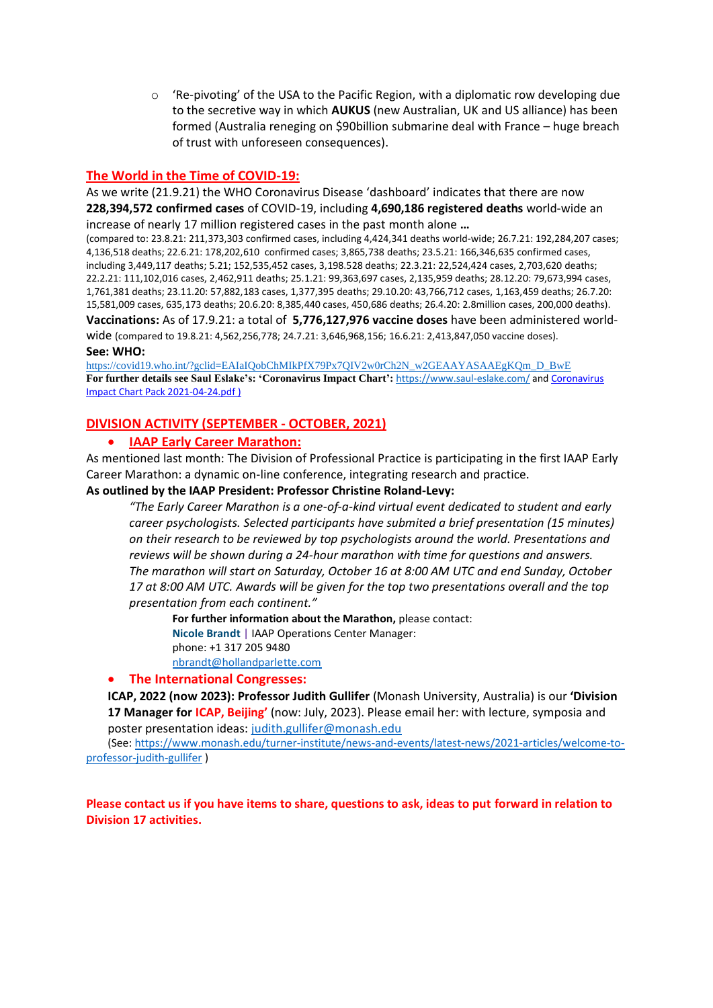$\circ$  'Re-pivoting' of the USA to the Pacific Region, with a diplomatic row developing due to the secretive way in which **AUKUS** (new Australian, UK and US alliance) has been formed (Australia reneging on \$90billion submarine deal with France – huge breach of trust with unforeseen consequences).

## **The World in the Time of COVID-19:**

As we write (21.9.21) the [WHO Coronavirus Disease 'dashboard'](https://covid19.who.int/) indicates that there are now **228,394,572 confirmed cases** of COVID-19, including **4,690,186 registered deaths** world-wide an increase of nearly 17 million registered cases in the past month alone **…**

(compared to: 23.8.21: 211,373,303 confirmed cases, including 4,424,341 deaths world-wide; 26.7.21: 192,284,207 cases; 4,136,518 deaths; 22.6.21: 178,202,610 confirmed cases; 3,865,738 deaths; 23.5.21: 166,346,635 confirmed cases, including 3,449,117 deaths; 5.21; 152,535,452 cases, 3,198.528 deaths; 22.3.21: 22,524,424 cases, 2,703,620 deaths; 22.2.21: 111,102,016 cases, 2,462,911 deaths; 25.1.21: 99,363,697 cases, 2,135,959 deaths; 28.12.20: 79,673,994 cases, 1,761,381 deaths; 23.11.20: 57,882,183 cases, 1,377,395 deaths; 29.10.20: 43,766,712 cases, 1,163,459 deaths; 26.7.20: 15,581,009 cases, 635,173 deaths; 20.6.20: 8,385,440 cases, 450,686 deaths; 26.4.20: 2.8million cases, 200,000 deaths). **Vaccinations:** As of 17.9.21: a total of **5,776,127,976 vaccine doses** have been administered world-

wide (compared to 19.8.21: 4,562,256,778; 24.7.21: 3,646,968,156; 16.6.21: 2,413,847,050 vaccine doses). **See: WHO:** 

[https://covid19.who.int/?gclid=EAIaIQobChMIkPfX79Px7QIV2w0rCh2N\\_w2GEAAYASAAEgKQm\\_D\\_BwE](https://covid19.who.int/?gclid=EAIaIQobChMIkPfX79Px7QIV2w0rCh2N_w2GEAAYASAAEgKQm_D_BwE) **For further details see Saul Eslake's: 'Coronavirus Impact Chart':** <https://www.saul-eslake.com/> an[d Coronavirus](file:///C:/Users/61477/AppData/Local/Microsoft/Windows/INetCache/Content.Outlook/MBGWFIBC/Coronavirus%20Impact%20Chart%20Pack%202021-04-24.pdf)  [Impact Chart Pack 2021-04-24.pdf](file:///C:/Users/61477/AppData/Local/Microsoft/Windows/INetCache/Content.Outlook/MBGWFIBC/Coronavirus%20Impact%20Chart%20Pack%202021-04-24.pdf) )

## **DIVISION ACTIVITY (SEPTEMBER - OCTOBER, 2021)**

## • **IAAP Early Career Marathon:**

As mentioned last month: The Division of Professional Practice is participating in the first IAAP Early Career Marathon: a dynamic on-line conference, integrating research and practice.

#### **As outlined by the IAAP President: Professor Christine Roland-Levy:**

*"The Early Career Marathon is a one-of-a-kind virtual event dedicated to student and early career psychologists. Selected participants have submited a brief presentation (15 minutes) on their research to be reviewed by top psychologists around the world. Presentations and reviews will be shown during a 24-hour marathon with time for questions and answers. The marathon will start on Saturday, October 16 at 8:00 AM UTC and end Sunday, October 17 at 8:00 AM UTC. Awards will be given for the top two presentations overall and the top presentation from each continent."*

**For further information about the Marathon,** please contact: **Nicole Brandt** | IAAP Operations Center Manager: phone: +1 317 205 9480

[nbrandt@hollandparlette.com](mailto:nbrandt@hollandparlette.com)

#### • **The International Congresses:**

**ICAP, 2022 (now 2023): Professor Judith Gullifer** (Monash University, Australia) is our **'Division 17 Manager for ICAP, Beijing'** (now: July, 2023). Please email her: with lecture, symposia and poster presentation ideas: [judith.gullifer@monash.edu](mailto:judith.gullifer@monash.edu)

(See[: https://www.monash.edu/turner-institute/news-and-events/latest-news/2021-articles/welcome-to](https://www.monash.edu/turner-institute/news-and-events/latest-news/2021-articles/welcome-to-professor-judith-gullifer)[professor-judith-gullifer](https://www.monash.edu/turner-institute/news-and-events/latest-news/2021-articles/welcome-to-professor-judith-gullifer) )

**Please contact us if you have items to share, questions to ask, ideas to put forward in relation to Division 17 activities.**